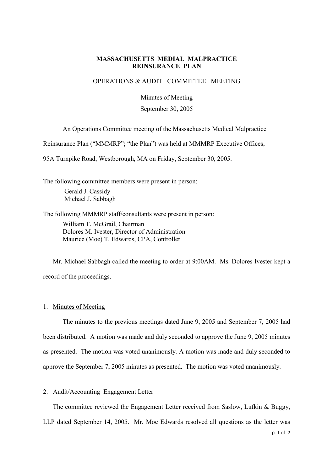# **MASSACHUSETTS MEDIAL MALPRACTICE REINSURANCE PLAN**

# OPERATIONS & AUDIT COMMITTEE MEETING

Minutes of Meeting

#### September 30, 2005

An Operations Committee meeting of the Massachusetts Medical Malpractice

Reinsurance Plan ("MMMRP"; "the Plan") was held at MMMRP Executive Offices,

95A Turnpike Road, Westborough, MA on Friday, September 30, 2005.

The following committee members were present in person: Gerald J. Cassidy Michael J. Sabbagh

The following MMMRP staff/consultants were present in person:

William T. McGrail, Chairman Dolores M. Ivester, Director of Administration Maurice (Moe) T. Edwards, CPA, Controller

Mr. Michael Sabbagh called the meeting to order at 9:00AM. Ms. Dolores Ivester kept a record of the proceedings.

#### 1. Minutes of Meeting

The minutes to the previous meetings dated June 9, 2005 and September 7, 2005 had been distributed. A motion was made and duly seconded to approve the June 9, 2005 minutes as presented. The motion was voted unanimously. A motion was made and duly seconded to approve the September 7, 2005 minutes as presented. The motion was voted unanimously.

### 2. Audit/Accounting Engagement Letter

The committee reviewed the Engagement Letter received from Saslow, Lufkin & Buggy,

LLP dated September 14, 2005. Mr. Moe Edwards resolved all questions as the letter was